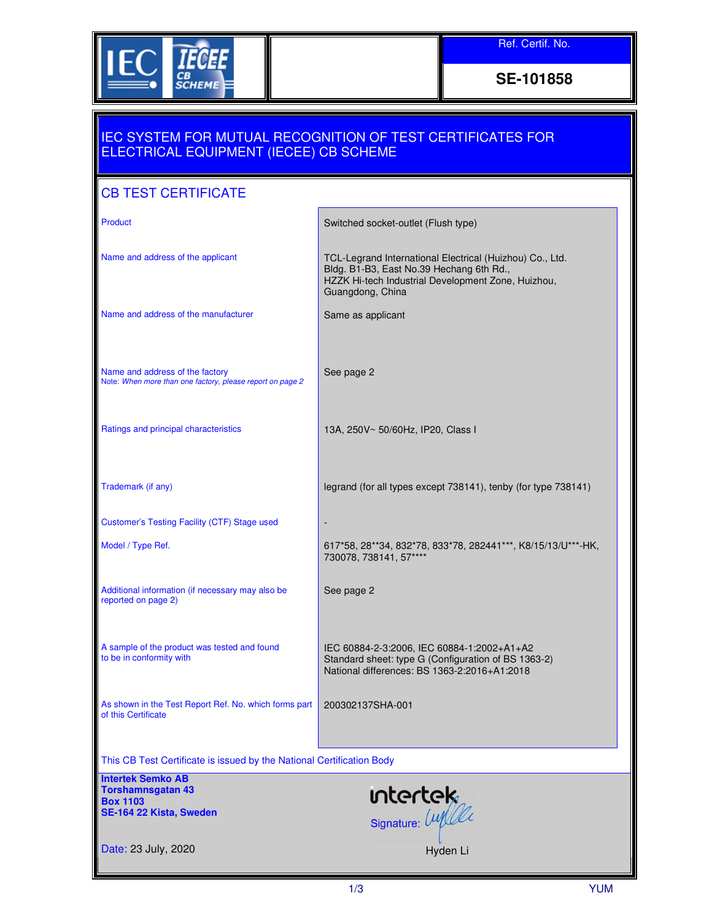

**SE-101858** 

## IEC SYSTEM FOR MUTUAL RECOGNITION OF TEST CERTIFICATES FOR ELECTRICAL EQUIPMENT (IECEE) CB SCHEME

## CB TEST CERTIFICATE

| Product                                                                                      | Switched socket-outlet (Flush type)                                                                                                                                            |
|----------------------------------------------------------------------------------------------|--------------------------------------------------------------------------------------------------------------------------------------------------------------------------------|
| Name and address of the applicant                                                            | TCL-Legrand International Electrical (Huizhou) Co., Ltd.<br>Bldg. B1-B3, East No.39 Hechang 6th Rd.,<br>HZZK Hi-tech Industrial Development Zone, Huizhou,<br>Guangdong, China |
| Name and address of the manufacturer                                                         | Same as applicant                                                                                                                                                              |
|                                                                                              |                                                                                                                                                                                |
| Name and address of the factory<br>Note: When more than one factory, please report on page 2 | See page 2                                                                                                                                                                     |
|                                                                                              |                                                                                                                                                                                |
| Ratings and principal characteristics                                                        | 13A, 250V~ 50/60Hz, IP20, Class I                                                                                                                                              |
|                                                                                              |                                                                                                                                                                                |
| Trademark (if any)                                                                           | legrand (for all types except 738141), tenby (for type 738141)                                                                                                                 |
| Customer's Testing Facility (CTF) Stage used                                                 |                                                                                                                                                                                |
| Model / Type Ref.                                                                            | 617*58, 28**34, 832*78, 833*78, 282441***, K8/15/13/U***-HK,<br>730078, 738141, 57****                                                                                         |
| Additional information (if necessary may also be<br>reported on page 2)                      | See page 2                                                                                                                                                                     |
|                                                                                              |                                                                                                                                                                                |
| A sample of the product was tested and found<br>to be in conformity with                     | IEC 60884-2-3:2006, IEC 60884-1:2002+A1+A2<br>Standard sheet: type G (Configuration of BS 1363-2)<br>National differences: BS 1363-2:2016+A1:2018                              |
| As shown in the Test Report Ref. No. which forms part<br>of this Certificate                 | 200302137SHA-001                                                                                                                                                               |
|                                                                                              |                                                                                                                                                                                |
| This CB Test Certificate is issued by the National Certification Body                        |                                                                                                                                                                                |
| <b>Intertek Semko AB</b><br><b>Torshamnsgatan 43</b>                                         |                                                                                                                                                                                |
| <b>Box 1103</b><br>SE-164 22 Kista, Sweden                                                   | intertek<br>signature: Luplle                                                                                                                                                  |
| Date: 23 July, 2020                                                                          | Hyden Li                                                                                                                                                                       |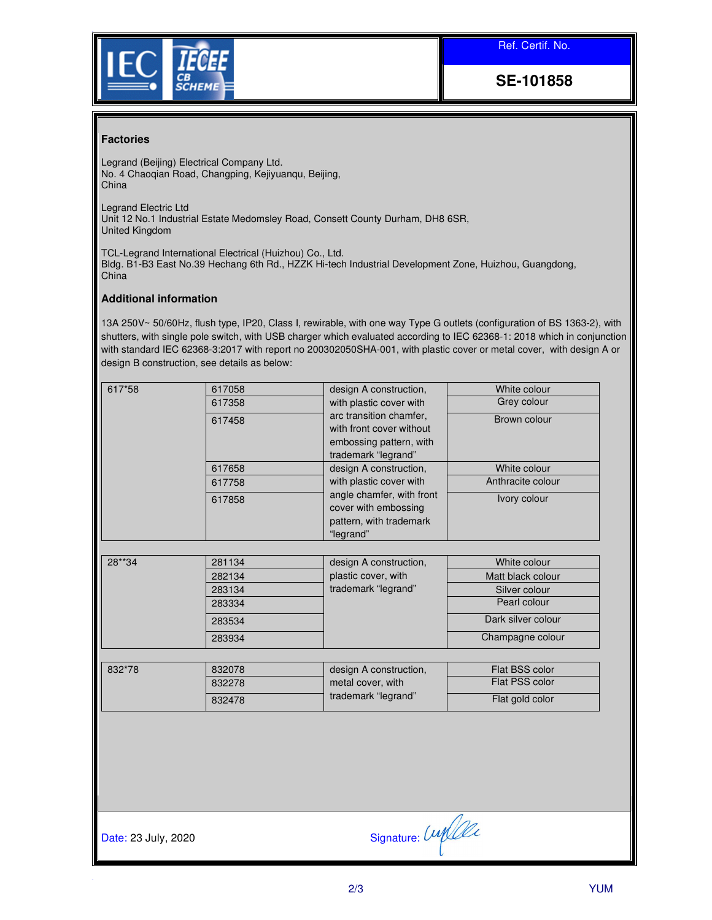Ref. Certif. No.



**SE-101858** 

## **Factories**

Legrand (Beijing) Electrical Company Ltd. No. 4 Chaoqian Road, Changping, Kejiyuanqu, Beijing, China

Legrand Electric Ltd Unit 12 No.1 Industrial Estate Medomsley Road, Consett County Durham, DH8 6SR, United Kingdom

TCL-Legrand International Electrical (Huizhou) Co., Ltd. Bldg. B1-B3 East No.39 Hechang 6th Rd., HZZK Hi-tech Industrial Development Zone, Huizhou, Guangdong, China

## **Additional information**

13A 250V~ 50/60Hz, flush type, IP20, Class I, rewirable, with one way Type G outlets (configuration of BS 1363-2), with shutters, with single pole switch, with USB charger which evaluated according to IEC 62368-1: 2018 which in conjunction with standard IEC 62368-3:2017 with report no 200302050SHA-001, with plastic cover or metal cover, with design A or design B construction, see details as below:

| 617*58<br>617058<br>617358                                         |                           | design A construction,   | White colour      |
|--------------------------------------------------------------------|---------------------------|--------------------------|-------------------|
|                                                                    |                           | with plastic cover with  | Grey colour       |
|                                                                    | 617458                    | arc transition chamfer,  | Brown colour      |
|                                                                    |                           | with front cover without |                   |
|                                                                    |                           | embossing pattern, with  |                   |
|                                                                    |                           | trademark "legrand"      |                   |
|                                                                    | 617658                    | design A construction,   | White colour      |
| 617758<br>617858                                                   | with plastic cover with   | Anthracite colour        |                   |
|                                                                    | angle chamfer, with front | Ivory colour             |                   |
|                                                                    |                           | cover with embossing     |                   |
|                                                                    | pattern, with trademark   |                          |                   |
|                                                                    | "legrand"                 |                          |                   |
|                                                                    |                           |                          |                   |
| 28**34<br>281134<br>282134<br>283134<br>283334<br>283534<br>283934 |                           | design A construction,   | White colour      |
|                                                                    |                           | plastic cover, with      | Matt black colour |
|                                                                    |                           | trademark "legrand"      | Silver colour     |
|                                                                    |                           | Pearl colour             |                   |
|                                                                    |                           | Dark silver colour       |                   |
|                                                                    |                           | Champagne colour         |                   |
|                                                                    |                           |                          |                   |
| 832*78                                                             | 832078                    | design A construction,   | Flat BSS color    |
|                                                                    | 832278                    | metal cover, with        | Flat PSS color    |
|                                                                    | 832478                    | trademark "legrand"      | Flat gold color   |

Date: 23 July, 2020  $\qquad \qquad$  Signature:  $\text{Unif.}$